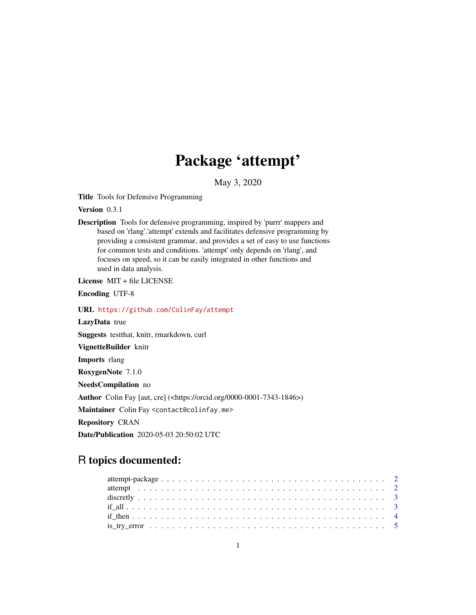## Package 'attempt'

May 3, 2020

Title Tools for Defensive Programming

Version 0.3.1

Description Tools for defensive programming, inspired by 'purrr' mappers and based on 'rlang'.'attempt' extends and facilitates defensive programming by providing a consistent grammar, and provides a set of easy to use functions for common tests and conditions. 'attempt' only depends on 'rlang', and focuses on speed, so it can be easily integrated in other functions and used in data analysis.

License MIT + file LICENSE

Encoding UTF-8

URL <https://github.com/ColinFay/attempt>

LazyData true Suggests testthat, knitr, rmarkdown, curl VignetteBuilder knitr Imports rlang RoxygenNote 7.1.0 NeedsCompilation no Author Colin Fay [aut, cre] (<https://orcid.org/0000-0001-7343-1846>) Maintainer Colin Fay <contact@colinfay.me> Repository CRAN

Date/Publication 2020-05-03 20:50:02 UTC

### R topics documented: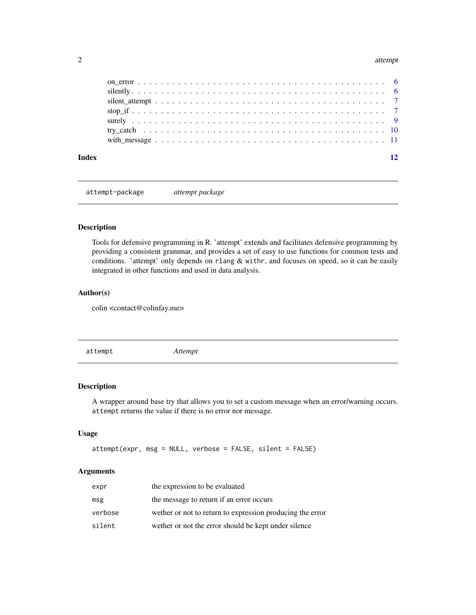#### 2 attempt and the contract of the contract of the contract of the contract of the contract of the contract of the contract of the contract of the contract of the contract of the contract of the contract of the contract of

| Index |  |  |  |  |  |  |  |  |  |  |  |  |  |  |  |  |  | 12 |
|-------|--|--|--|--|--|--|--|--|--|--|--|--|--|--|--|--|--|----|
|       |  |  |  |  |  |  |  |  |  |  |  |  |  |  |  |  |  |    |
|       |  |  |  |  |  |  |  |  |  |  |  |  |  |  |  |  |  |    |
|       |  |  |  |  |  |  |  |  |  |  |  |  |  |  |  |  |  |    |
|       |  |  |  |  |  |  |  |  |  |  |  |  |  |  |  |  |  |    |
|       |  |  |  |  |  |  |  |  |  |  |  |  |  |  |  |  |  |    |
|       |  |  |  |  |  |  |  |  |  |  |  |  |  |  |  |  |  |    |
|       |  |  |  |  |  |  |  |  |  |  |  |  |  |  |  |  |  |    |

attempt-package *attempt package*

#### Description

Tools for defensive programming in R. 'attempt' extends and facilitates defensive programming by providing a consistent grammar, and provides a set of easy to use functions for common tests and conditions. 'attempt' only depends on rlang  $&$  withr, and focuses on speed, so it can be easily integrated in other functions and used in data analysis.

#### Author(s)

colin <contact@colinfay.me>

attempt *Attempt*

#### Description

A wrapper around base try that allows you to set a custom message when an error/warning occurs. attempt returns the value if there is no error nor message.

#### Usage

```
attempt(expr, msg = NULL, verbose = FALSE, silent = FALSE)
```
#### Arguments

| expr    | the expression to be evaluated                            |
|---------|-----------------------------------------------------------|
| msg     | the message to return if an error occurs                  |
| verbose | wether or not to return to expression producing the error |
| silent  | wether or not the error should be kept under silence      |

<span id="page-1-0"></span>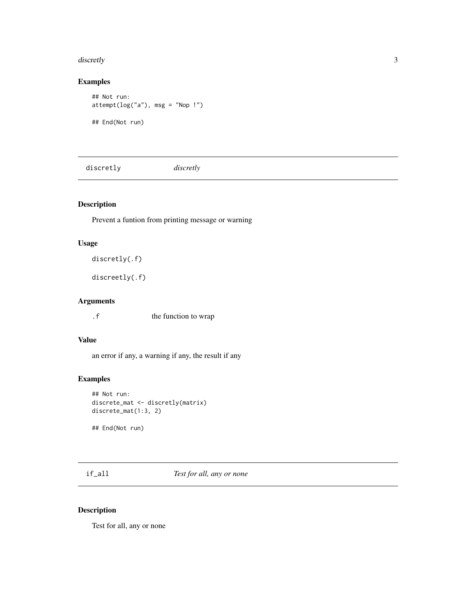#### <span id="page-2-0"></span>discretly 3

#### Examples

```
## Not run:
attempt(log("a"), msg = "Nop !")
## End(Not run)
```
discretly *discretly*

#### Description

Prevent a funtion from printing message or warning

#### Usage

discretly(.f)

discreetly(.f)

#### Arguments

. f the function to wrap

#### Value

an error if any, a warning if any, the result if any

#### Examples

```
## Not run:
discrete_mat <- discretly(matrix)
discrete_mat(1:3, 2)
```
## End(Not run)

if\_all *Test for all, any or none*

#### Description

Test for all, any or none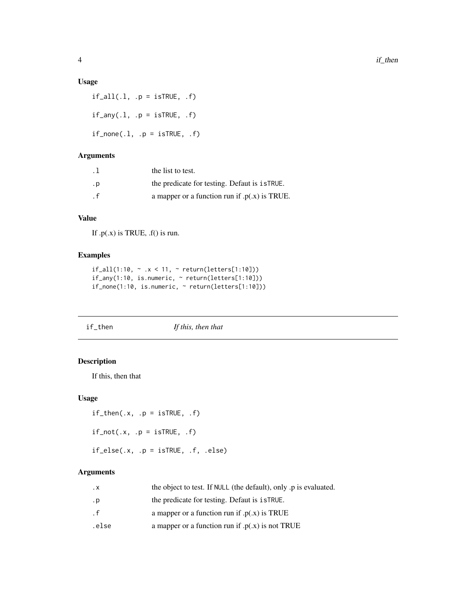#### <span id="page-3-0"></span>Usage

 $if\_all(.1, .p = isTRUE, .f)$  $if_{any(.1, .p = isTRUE, .f)}$  $if\_none(.1, .p = isTRUE, .f)$ 

#### Arguments

| $\cdot$ . | the list to test.                               |
|-----------|-------------------------------------------------|
| . p       | the predicate for testing. Defaut is $i$ sTRUE. |
| . f       | a mapper or a function run if $.p(x)$ is TRUE.  |

#### Value

If  $.p(x)$  is TRUE,  $.f()$  is run.

#### Examples

```
if\_all(1:10, ~ ~ x < 11, ~ ~ return(letters[1:10]))if_any(1:10, is.numeric, ~ return(letters[1:10]))
if_none(1:10, is.numeric, ~ return(letters[1:10]))
```
if\_then *If this, then that*

#### Description

If this, then that

#### Usage

 $if_{\text{then}}(.x, .p = isTRUE, .f)$ 

```
if\_not(.x, .p = isTRUE, .f)
```
if\_else(.x, .p = isTRUE, .f, .else)

#### Arguments

| $\cdot$ X      | the object to test. If NULL (the default), only .p is evaluated. |
|----------------|------------------------------------------------------------------|
| .p             | the predicate for testing. Defaut is $i$ sTRUE.                  |
| . $\mathsf{f}$ | a mapper or a function run if $.p(x)$ is TRUE                    |
| .else          | a mapper or a function run if $.p(x)$ is not TRUE                |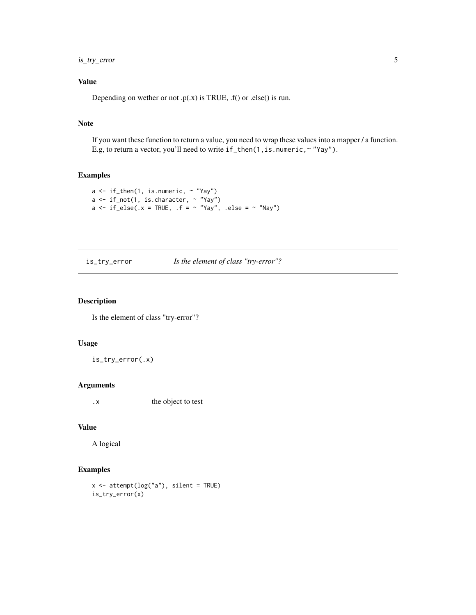#### <span id="page-4-0"></span>is\_try\_error 5

#### Value

Depending on wether or not  $.p(x)$  is TRUE,  $.f()$  or  $.$ else $()$  is run.

#### Note

If you want these function to return a value, you need to wrap these values into a mapper / a function. E.g, to return a vector, you'll need to write if\_then(1,is.numeric,~ "Yay").

#### Examples

```
a \leftarrow if_{then}(1, is_{numeric}, \sim "Yay")a \leftarrow if\_not(1, is. character, \sim "Yay")a \le if_else(.x = TRUE, .f = \sim "Yay", .else = \sim "Nay")
```
is\_try\_error *Is the element of class "try-error"?*

#### Description

Is the element of class "try-error"?

#### Usage

is\_try\_error(.x)

#### Arguments

.x the object to test

#### Value

A logical

#### Examples

 $x \le -$  attempt( $log("a")$ , silent = TRUE) is\_try\_error(x)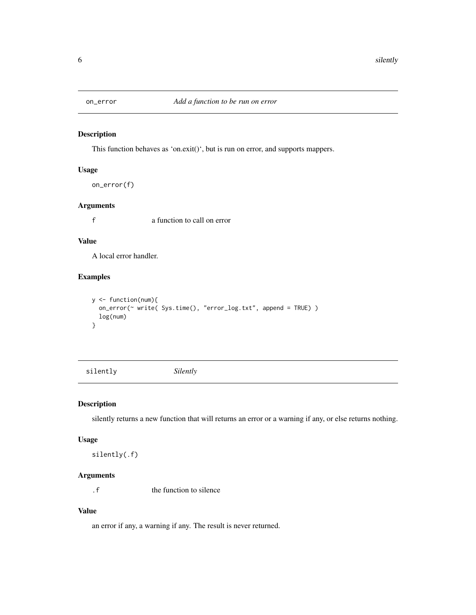<span id="page-5-0"></span>

#### Description

This function behaves as 'on.exit()', but is run on error, and supports mappers.

#### Usage

```
on_error(f)
```
#### Arguments

f a function to call on error

#### Value

A local error handler.

#### Examples

```
y <- function(num){
  on_error(~ write( Sys.time(), "error_log.txt", append = TRUE) )
  log(num)
}
```

| silently | Silently |  |
|----------|----------|--|
|          |          |  |

#### Description

silently returns a new function that will returns an error or a warning if any, or else returns nothing.

#### Usage

```
silently(.f)
```
#### Arguments

.f the function to silence

#### Value

an error if any, a warning if any. The result is never returned.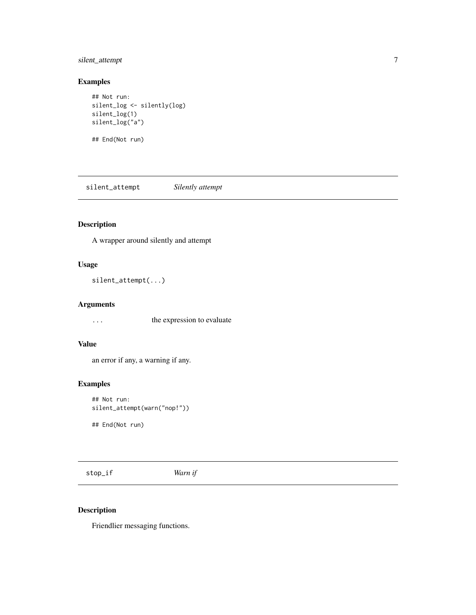#### <span id="page-6-0"></span>silent\_attempt 7

#### Examples

```
## Not run:
silent_log <- silently(log)
silent_log(1)
silent_log("a")
## End(Not run)
```
silent\_attempt *Silently attempt*

### Description

A wrapper around silently and attempt

#### Usage

```
silent_attempt(...)
```
#### Arguments

... the expression to evaluate

#### Value

an error if any, a warning if any.

#### Examples

```
## Not run:
silent_attempt(warn("nop!"))
```
## End(Not run)

stop\_if *Warn if*

#### Description

Friendlier messaging functions.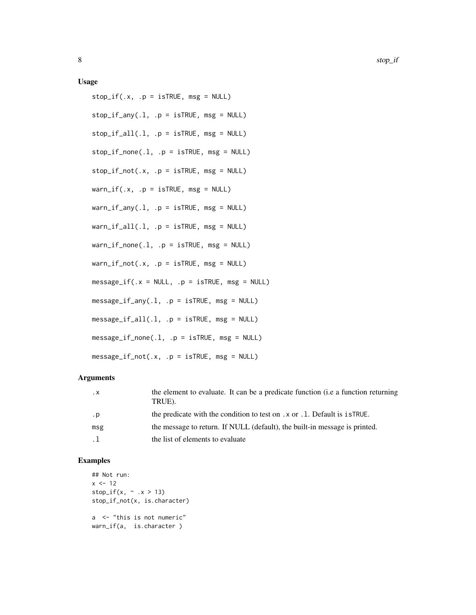#### Usage

```
stop_if(.x, .p = isTRUE, msg = NULL)stop_if_any(.1, .p = isTRUE, msg = NULL)stop_if_all(.1, .p = isTRUE, msg = NULL)stop_if\_none(.1, .p = isTRUE, msg = NULL)stop_if\_not(.x, .p = isTRUE, msg = NULL)warn_if(.x, .p = isTRUE, msg = NULL)
warn_i f_{any}(.1, .p = isTRUE, msg = NULL)warn_i f_all(.1, .p = isTRUE, msg = NULL)warn_i f_name(.1, .p = isTRUE, msg = NULL)warn\_if\_not(.x, .p = isTRUE, msg = NULL)message_if(x = NULL, p = isTRUE, msg = NULL)message_if_any(.1, .p = isTRUE, msg = NULL)message_if_all(.1, .p = isTRUE, msg = NULL)message_if\_none(.1, .p = isTRUE, msg = NULL)message_ifnot(x, p = isTRUE, msg = NULL)
```
#### Arguments

| $\cdot$ X | the element to evaluate. It can be a predicate function (i.e a function returning<br>TRUE). |
|-----------|---------------------------------------------------------------------------------------------|
| . p       | the predicate with the condition to test on .x or .1. Default is is TRUE.                   |
| msg       | the message to return. If NULL (default), the built-in message is printed.                  |
|           | the list of elements to evaluate                                                            |

#### Examples

```
## Not run:
x < -12stop_if(x, ~ ~ x > 13)stop_if_not(x, is.character)
a <- "this is not numeric"
warn_if(a, is.character )
```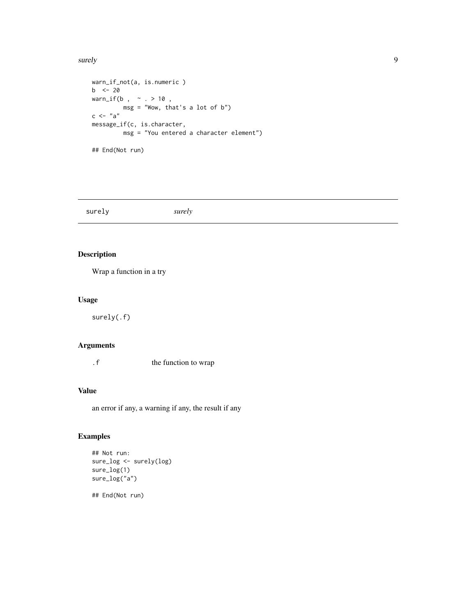#### <span id="page-8-0"></span>surely the state of the state of the state of the state of the state of the state of the state of the state of the state of the state of the state of the state of the state of the state of the state of the state of the sta

```
warn_if_not(a, is.numeric )
b <- 20
warn_i f(b , ~ ~ ~ ~ ~ ~ > ~ 10 ,msg = "Wow, that's a lot of b")
c < - "a"
message_if(c, is.character,
         msg = "You entered a character element")
## End(Not run)
```
surely *surely*

#### Description

Wrap a function in a try

#### Usage

surely(.f)

#### Arguments

. f the function to wrap

#### Value

an error if any, a warning if any, the result if any

#### Examples

```
## Not run:
sure_log <- surely(log)
sure_log(1)
sure_log("a")
```
## End(Not run)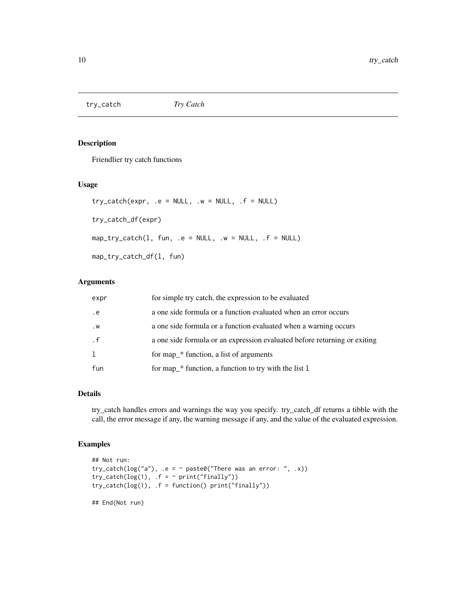<span id="page-9-0"></span>try\_catch *Try Catch*

#### Description

Friendlier try catch functions

#### Usage

```
try\_catch(exp, .e = NULL, .w = NULL, .f = NULL)try_catch_df(expr)
map_{r}try_{catch}(l, fun, .e = NULL, .w = NULL, .f = NULL)map_try_catch_df(l, fun)
```
#### Arguments

| expr      | for simple try catch, the expression to be evaluated                      |
|-----------|---------------------------------------------------------------------------|
| e.        | a one side formula or a function evaluated when an error occurs           |
| $\cdot$ W | a one side formula or a function evaluated when a warning occurs          |
| $\cdot$ f | a one side formula or an expression evaluated before returning or exiting |
| 1         | for map_* function, a list of arguments                                   |
| fun       | for map_ $*$ function, a function to try with the list 1                  |

#### Details

try\_catch handles errors and warnings the way you specify. try\_catch\_df returns a tibble with the call, the error message if any, the warning message if any, and the value of the evaluated expression.

#### Examples

```
## Not run:
try\_catch(log("a"), .e = ~ parse0("There was an error: ", .x))try\_catch(log(1), f = ~ print("finally"))try_catch(log(1), .f = function() print("finally"))
## End(Not run)
```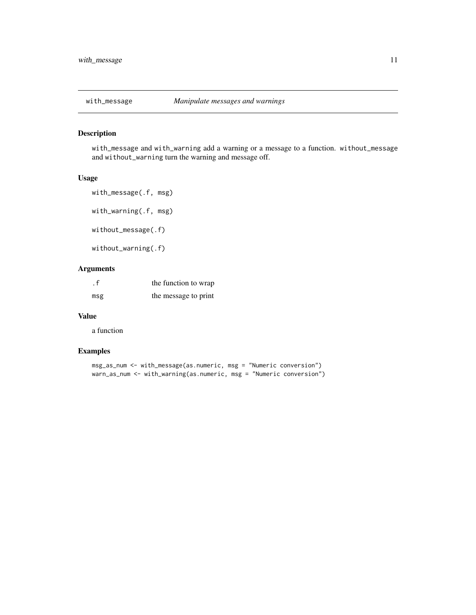<span id="page-10-0"></span>

#### Description

with\_message and with\_warning add a warning or a message to a function. without\_message and without\_warning turn the warning and message off.

#### Usage

```
with_message(.f, msg)
with_warning(.f, msg)
without_message(.f)
without_warning(.f)
```
Arguments

| ∴. f` | the function to wrap |
|-------|----------------------|
| msg   | the message to print |

#### Value

a function

#### Examples

```
msg_as_num <- with_message(as.numeric, msg = "Numeric conversion")
warn_as_num <- with_warning(as.numeric, msg = "Numeric conversion")
```